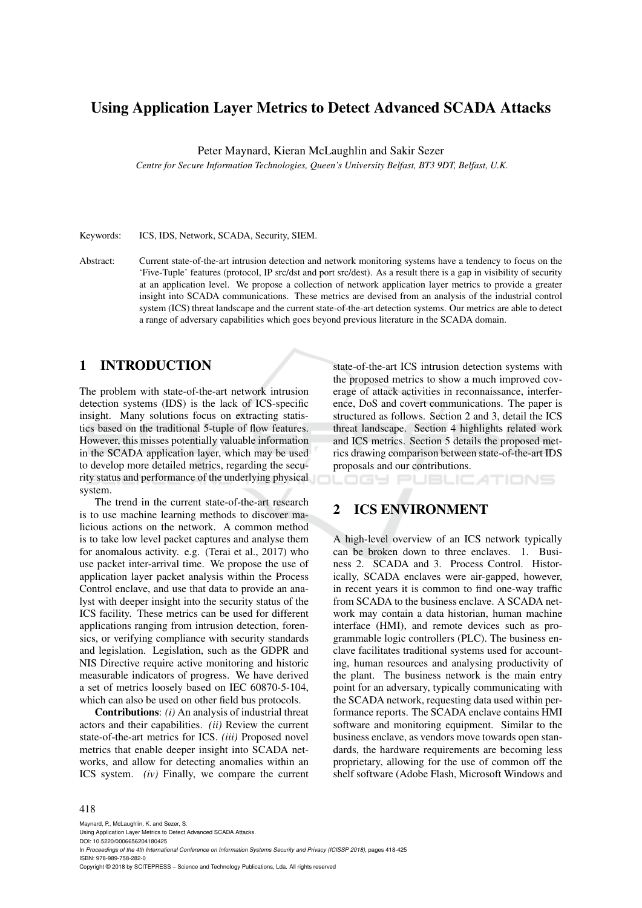# Using Application Layer Metrics to Detect Advanced SCADA Attacks

Peter Maynard, Kieran McLaughlin and Sakir Sezer

*Centre for Secure Information Technologies, Queen's University Belfast, BT3 9DT, Belfast, U.K.*

Keywords: ICS, IDS, Network, SCADA, Security, SIEM.

Abstract: Current state-of-the-art intrusion detection and network monitoring systems have a tendency to focus on the 'Five-Tuple' features (protocol, IP src/dst and port src/dest). As a result there is a gap in visibility of security at an application level. We propose a collection of network application layer metrics to provide a greater insight into SCADA communications. These metrics are devised from an analysis of the industrial control system (ICS) threat landscape and the current state-of-the-art detection systems. Our metrics are able to detect a range of adversary capabilities which goes beyond previous literature in the SCADA domain.

## 1 INTRODUCTION

The problem with state-of-the-art network intrusion detection systems (IDS) is the lack of ICS-specific insight. Many solutions focus on extracting statistics based on the traditional 5-tuple of flow features. However, this misses potentially valuable information in the SCADA application layer, which may be used to develop more detailed metrics, regarding the security status and performance of the underlying physical system.

The trend in the current state-of-the-art research is to use machine learning methods to discover malicious actions on the network. A common method is to take low level packet captures and analyse them for anomalous activity. e.g. (Terai et al., 2017) who use packet inter-arrival time. We propose the use of application layer packet analysis within the Process Control enclave, and use that data to provide an analyst with deeper insight into the security status of the ICS facility. These metrics can be used for different applications ranging from intrusion detection, forensics, or verifying compliance with security standards and legislation. Legislation, such as the GDPR and NIS Directive require active monitoring and historic measurable indicators of progress. We have derived a set of metrics loosely based on IEC 60870-5-104, which can also be used on other field bus protocols.

Contributions: *(i)* An analysis of industrial threat actors and their capabilities. *(ii)* Review the current state-of-the-art metrics for ICS. *(iii)* Proposed novel metrics that enable deeper insight into SCADA networks, and allow for detecting anomalies within an ICS system. *(iv)* Finally, we compare the current

state-of-the-art ICS intrusion detection systems with the proposed metrics to show a much improved coverage of attack activities in reconnaissance, interference, DoS and covert communications. The paper is structured as follows. Section 2 and 3, detail the ICS threat landscape. Section 4 highlights related work and ICS metrics. Section 5 details the proposed metrics drawing comparison between state-of-the-art IDS proposals and our contributions.

IGY PUBLICATIONS

# 2 ICS ENVIRONMENT

A high-level overview of an ICS network typically can be broken down to three enclaves. 1. Business 2. SCADA and 3. Process Control. Historically, SCADA enclaves were air-gapped, however, in recent years it is common to find one-way traffic from SCADA to the business enclave. A SCADA network may contain a data historian, human machine interface (HMI), and remote devices such as programmable logic controllers (PLC). The business enclave facilitates traditional systems used for accounting, human resources and analysing productivity of the plant. The business network is the main entry point for an adversary, typically communicating with the SCADA network, requesting data used within performance reports. The SCADA enclave contains HMI software and monitoring equipment. Similar to the business enclave, as vendors move towards open standards, the hardware requirements are becoming less proprietary, allowing for the use of common off the shelf software (Adobe Flash, Microsoft Windows and

#### 418

Maynard, P., McLaughlin, K. and Sezer, S. Using Application Layer Metrics to Detect Advanced SCADA Attacks. DOI: 10.5220/0006656204180425 In *Proceedings of the 4th International Conference on Information Systems Security and Privacy (ICISSP 2018)*, pages 418-425 ISBN: 978-989-758-282-0 Copyright © 2018 by SCITEPRESS – Science and Technology Publications, Lda. All rights reserved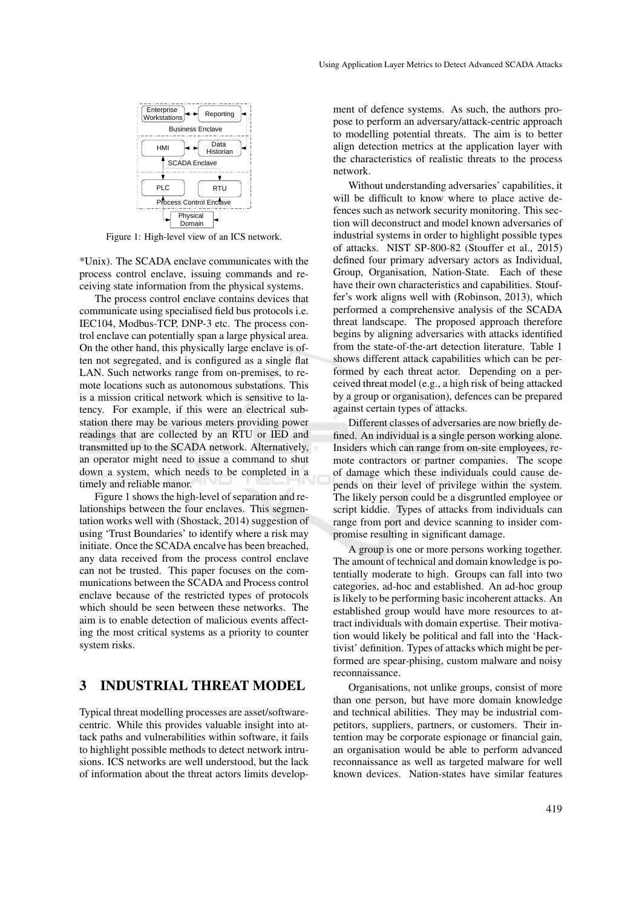

Figure 1: High-level view of an ICS network.

\*Unix). The SCADA enclave communicates with the process control enclave, issuing commands and receiving state information from the physical systems.

The process control enclave contains devices that communicate using specialised field bus protocols i.e. IEC104, Modbus-TCP, DNP-3 etc. The process control enclave can potentially span a large physical area. On the other hand, this physically large enclave is often not segregated, and is configured as a single flat LAN. Such networks range from on-premises, to remote locations such as autonomous substations. This is a mission critical network which is sensitive to latency. For example, if this were an electrical substation there may be various meters providing power readings that are collected by an RTU or IED and transmitted up to the SCADA network. Alternatively, an operator might need to issue a command to shut down a system, which needs to be completed in a timely and reliable manor.

Figure 1 shows the high-level of separation and relationships between the four enclaves. This segmentation works well with (Shostack, 2014) suggestion of using 'Trust Boundaries' to identify where a risk may initiate. Once the SCADA encalve has been breached, any data received from the process control enclave can not be trusted. This paper focuses on the communications between the SCADA and Process control enclave because of the restricted types of protocols which should be seen between these networks. The aim is to enable detection of malicious events affecting the most critical systems as a priority to counter system risks.

## 3 INDUSTRIAL THREAT MODEL

Typical threat modelling processes are asset/softwarecentric. While this provides valuable insight into attack paths and vulnerabilities within software, it fails to highlight possible methods to detect network intrusions. ICS networks are well understood, but the lack of information about the threat actors limits develop-

ment of defence systems. As such, the authors propose to perform an adversary/attack-centric approach to modelling potential threats. The aim is to better align detection metrics at the application layer with the characteristics of realistic threats to the process network.

Without understanding adversaries' capabilities, it will be difficult to know where to place active defences such as network security monitoring. This section will deconstruct and model known adversaries of industrial systems in order to highlight possible types of attacks. NIST SP-800-82 (Stouffer et al., 2015) defined four primary adversary actors as Individual, Group, Organisation, Nation-State. Each of these have their own characteristics and capabilities. Stouffer's work aligns well with (Robinson, 2013), which performed a comprehensive analysis of the SCADA threat landscape. The proposed approach therefore begins by aligning adversaries with attacks identified from the state-of-the-art detection literature. Table 1 shows different attack capabilities which can be performed by each threat actor. Depending on a perceived threat model (e.g., a high risk of being attacked by a group or organisation), defences can be prepared against certain types of attacks.

Different classes of adversaries are now briefly defined. An individual is a single person working alone. Insiders which can range from on-site employees, remote contractors or partner companies. The scope of damage which these individuals could cause depends on their level of privilege within the system. The likely person could be a disgruntled employee or script kiddie. Types of attacks from individuals can range from port and device scanning to insider compromise resulting in significant damage.

A group is one or more persons working together. The amount of technical and domain knowledge is potentially moderate to high. Groups can fall into two categories, ad-hoc and established. An ad-hoc group is likely to be performing basic incoherent attacks. An established group would have more resources to attract individuals with domain expertise. Their motivation would likely be political and fall into the 'Hacktivist' definition. Types of attacks which might be performed are spear-phising, custom malware and noisy reconnaissance.

Organisations, not unlike groups, consist of more than one person, but have more domain knowledge and technical abilities. They may be industrial competitors, suppliers, partners, or customers. Their intention may be corporate espionage or financial gain, an organisation would be able to perform advanced reconnaissance as well as targeted malware for well known devices. Nation-states have similar features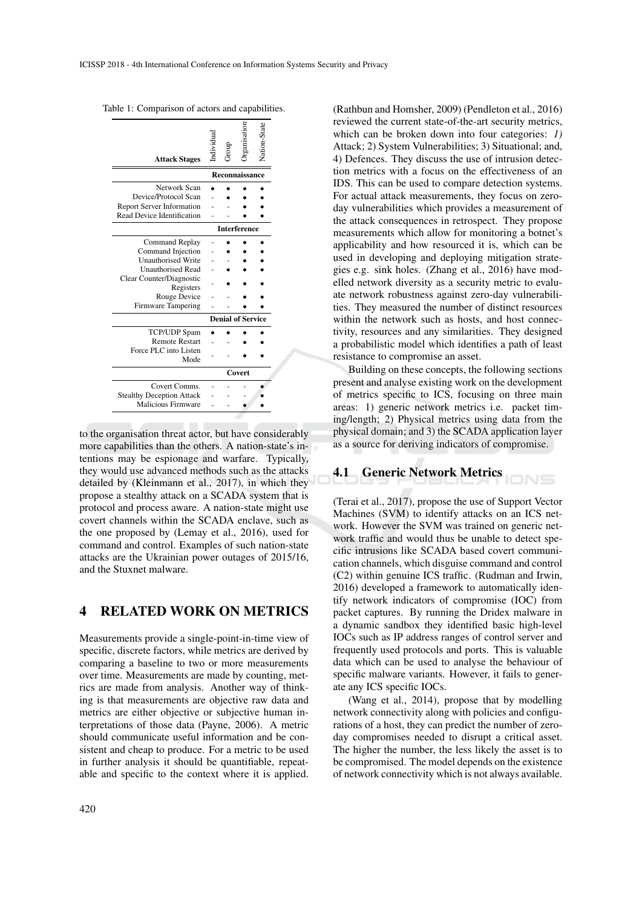| <b>Attack Stages</b>             | ndividua       |  |  | Nation-State |  |  |
|----------------------------------|----------------|--|--|--------------|--|--|
|                                  | Reconnaissance |  |  |              |  |  |
| Network Scan                     |                |  |  |              |  |  |
| Device/Protocol Scan             |                |  |  |              |  |  |
| <b>Report Server Information</b> |                |  |  |              |  |  |
| Read Device Identification       |                |  |  |              |  |  |
| <b>Interference</b>              |                |  |  |              |  |  |
| <b>Command Replay</b>            |                |  |  |              |  |  |
| Command Injection                |                |  |  |              |  |  |
| <b>Unauthorised Write</b>        |                |  |  |              |  |  |
| <b>Unauthorised Read</b>         |                |  |  |              |  |  |
| Clear Counter/Diagnostic         |                |  |  |              |  |  |
| Registers                        |                |  |  |              |  |  |
| Rouge Device                     |                |  |  |              |  |  |
| <b>Firmware Tampering</b>        |                |  |  |              |  |  |
| <b>Denial of Service</b>         |                |  |  |              |  |  |
| TCP/UDP Spam                     |                |  |  |              |  |  |
| <b>Remote Restart</b>            |                |  |  |              |  |  |
| Force PLC into Listen            |                |  |  |              |  |  |
| Mode                             |                |  |  |              |  |  |
|                                  | Covert         |  |  |              |  |  |
| Covert Comms.                    |                |  |  |              |  |  |
| <b>Stealthy Deception Attack</b> |                |  |  |              |  |  |
| Malicious Firmware               |                |  |  |              |  |  |
|                                  |                |  |  |              |  |  |

Table 1: Comparison of actors and capabilities.

to the organisation threat actor, but have considerably more capabilities than the others. A nation-state's intentions may be espionage and warfare. Typically, they would use advanced methods such as the attacks detailed by (Kleinmann et al., 2017), in which they propose a stealthy attack on a SCADA system that is protocol and process aware. A nation-state might use covert channels within the SCADA enclave, such as the one proposed by (Lemay et al., 2016), used for command and control. Examples of such nation-state attacks are the Ukrainian power outages of 2015/16, and the Stuxnet malware.

#### 4 RELATED WORK ON METRICS

Measurements provide a single-point-in-time view of specific, discrete factors, while metrics are derived by comparing a baseline to two or more measurements over time. Measurements are made by counting, metrics are made from analysis. Another way of thinking is that measurements are objective raw data and metrics are either objective or subjective human interpretations of those data (Payne, 2006). A metric should communicate useful information and be consistent and cheap to produce. For a metric to be used in further analysis it should be quantifiable, repeatable and specific to the context where it is applied.

(Rathbun and Homsher, 2009) (Pendleton et al., 2016) reviewed the current state-of-the-art security metrics, which can be broken down into four categories: *1)* Attack; 2) System Vulnerabilities; 3) Situational; and, 4) Defences. They discuss the use of intrusion detection metrics with a focus on the effectiveness of an IDS. This can be used to compare detection systems. For actual attack measurements, they focus on zeroday vulnerabilities which provides a measurement of the attack consequences in retrospect. They propose measurements which allow for monitoring a botnet's applicability and how resourced it is, which can be used in developing and deploying mitigation strategies e.g. sink holes. (Zhang et al., 2016) have modelled network diversity as a security metric to evaluate network robustness against zero-day vulnerabilities. They measured the number of distinct resources within the network such as hosts, and host connectivity, resources and any similarities. They designed a probabilistic model which identifies a path of least resistance to compromise an asset.

Building on these concepts, the following sections present and analyse existing work on the development of metrics specific to ICS, focusing on three main areas: 1) generic network metrics i.e. packet timing/length; 2) Physical metrics using data from the physical domain; and 3) the SCADA application layer as a source for deriving indicators of compromise.

# 4.1 Generic Network Metrics

(Terai et al., 2017), propose the use of Support Vector Machines (SVM) to identify attacks on an ICS network. However the SVM was trained on generic network traffic and would thus be unable to detect specific intrusions like SCADA based covert communication channels, which disguise command and control (C2) within genuine ICS traffic. (Rudman and Irwin, 2016) developed a framework to automatically identify network indicators of compromise (IOC) from packet captures. By running the Dridex malware in a dynamic sandbox they identified basic high-level IOCs such as IP address ranges of control server and frequently used protocols and ports. This is valuable data which can be used to analyse the behaviour of specific malware variants. However, it fails to generate any ICS specific IOCs.

(Wang et al., 2014), propose that by modelling network connectivity along with policies and configurations of a host, they can predict the number of zeroday compromises needed to disrupt a critical asset. The higher the number, the less likely the asset is to be compromised. The model depends on the existence of network connectivity which is not always available.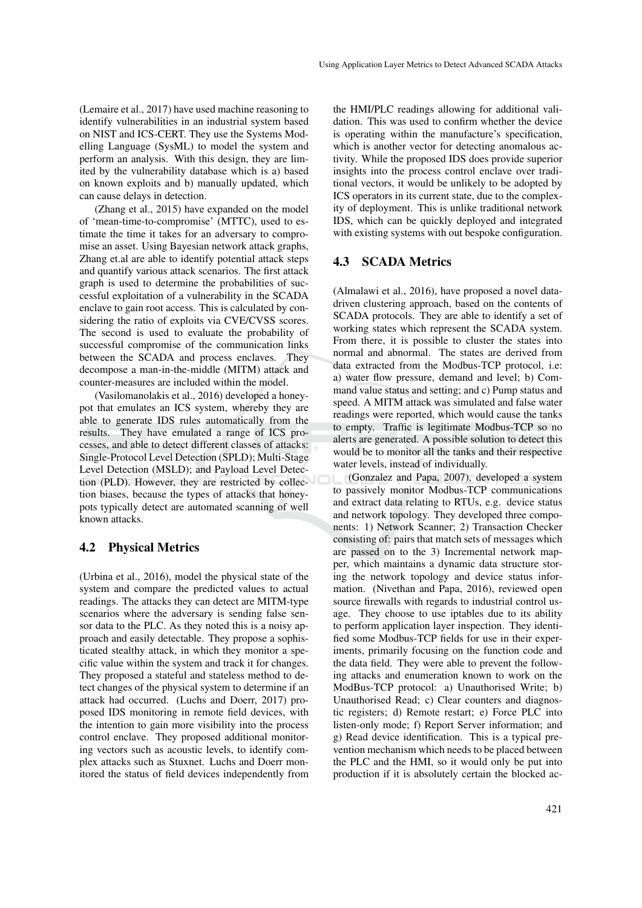(Lemaire et al., 2017) have used machine reasoning to identify vulnerabilities in an industrial system based on NIST and ICS-CERT. They use the Systems Modelling Language (SysML) to model the system and perform an analysis. With this design, they are limited by the vulnerability database which is a) based on known exploits and b) manually updated, which can cause delays in detection.

(Zhang et al., 2015) have expanded on the model of 'mean-time-to-compromise' (MTTC), used to estimate the time it takes for an adversary to compromise an asset. Using Bayesian network attack graphs, Zhang et.al are able to identify potential attack steps and quantify various attack scenarios. The first attack graph is used to determine the probabilities of successful exploitation of a vulnerability in the SCADA enclave to gain root access. This is calculated by considering the ratio of exploits via CVE/CVSS scores. The second is used to evaluate the probability of successful compromise of the communication links between the SCADA and process enclaves. They decompose a man-in-the-middle (MITM) attack and counter-measures are included within the model.

(Vasilomanolakis et al., 2016) developed a honeypot that emulates an ICS system, whereby they are able to generate IDS rules automatically from the results. They have emulated a range of ICS processes, and able to detect different classes of attacks: Single-Protocol Level Detection (SPLD); Multi-Stage Level Detection (MSLD); and Payload Level Detection (PLD). However, they are restricted by collection biases, because the types of attacks that honeypots typically detect are automated scanning of well known attacks.

#### 4.2 Physical Metrics

(Urbina et al., 2016), model the physical state of the system and compare the predicted values to actual readings. The attacks they can detect are MITM-type scenarios where the adversary is sending false sensor data to the PLC. As they noted this is a noisy approach and easily detectable. They propose a sophisticated stealthy attack, in which they monitor a specific value within the system and track it for changes. They proposed a stateful and stateless method to detect changes of the physical system to determine if an attack had occurred. (Luchs and Doerr, 2017) proposed IDS monitoring in remote field devices, with the intention to gain more visibility into the process control enclave. They proposed additional monitoring vectors such as acoustic levels, to identify complex attacks such as Stuxnet. Luchs and Doerr monitored the status of field devices independently from

the HMI/PLC readings allowing for additional validation. This was used to confirm whether the device is operating within the manufacture's specification, which is another vector for detecting anomalous activity. While the proposed IDS does provide superior insights into the process control enclave over traditional vectors, it would be unlikely to be adopted by ICS operators in its current state, due to the complexity of deployment. This is unlike traditional network IDS, which can be quickly deployed and integrated with existing systems with out bespoke configuration.

#### 4.3 SCADA Metrics

(Almalawi et al., 2016), have proposed a novel datadriven clustering approach, based on the contents of SCADA protocols. They are able to identify a set of working states which represent the SCADA system. From there, it is possible to cluster the states into normal and abnormal. The states are derived from data extracted from the Modbus-TCP protocol, i.e: a) water flow pressure, demand and level; b) Command value status and setting; and c) Pump status and speed. A MITM attack was simulated and false water readings were reported, which would cause the tanks to empty. Traffic is legitimate Modbus-TCP so no alerts are generated. A possible solution to detect this would be to monitor all the tanks and their respective water levels, instead of individually.

(Gonzalez and Papa, 2007), developed a system to passively monitor Modbus-TCP communications and extract data relating to RTUs, e.g. device status and network topology. They developed three components: 1) Network Scanner; 2) Transaction Checker consisting of: pairs that match sets of messages which are passed on to the 3) Incremental network mapper, which maintains a dynamic data structure storing the network topology and device status information. (Nivethan and Papa, 2016), reviewed open source firewalls with regards to industrial control usage. They choose to use iptables due to its ability to perform application layer inspection. They identified some Modbus-TCP fields for use in their experiments, primarily focusing on the function code and the data field. They were able to prevent the following attacks and enumeration known to work on the ModBus-TCP protocol: a) Unauthorised Write; b) Unauthorised Read; c) Clear counters and diagnostic registers; d) Remote restart; e) Force PLC into listen-only mode; f) Report Server information; and g) Read device identification. This is a typical prevention mechanism which needs to be placed between the PLC and the HMI, so it would only be put into production if it is absolutely certain the blocked ac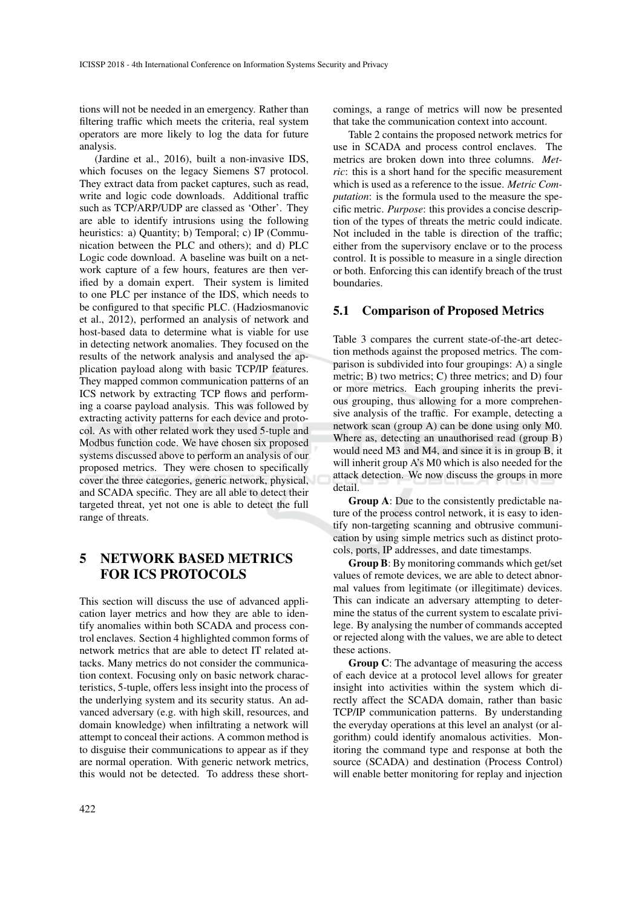tions will not be needed in an emergency. Rather than filtering traffic which meets the criteria, real system operators are more likely to log the data for future analysis.

(Jardine et al., 2016), built a non-invasive IDS, which focuses on the legacy Siemens S7 protocol. They extract data from packet captures, such as read, write and logic code downloads. Additional traffic such as TCP/ARP/UDP are classed as 'Other'. They are able to identify intrusions using the following heuristics: a) Quantity; b) Temporal; c) IP (Communication between the PLC and others); and d) PLC Logic code download. A baseline was built on a network capture of a few hours, features are then verified by a domain expert. Their system is limited to one PLC per instance of the IDS, which needs to be configured to that specific PLC. (Hadziosmanovic et al., 2012), performed an analysis of network and host-based data to determine what is viable for use in detecting network anomalies. They focused on the results of the network analysis and analysed the application payload along with basic TCP/IP features. They mapped common communication patterns of an ICS network by extracting TCP flows and performing a coarse payload analysis. This was followed by extracting activity patterns for each device and protocol. As with other related work they used 5-tuple and Modbus function code. We have chosen six proposed systems discussed above to perform an analysis of our proposed metrics. They were chosen to specifically cover the three categories, generic network, physical, and SCADA specific. They are all able to detect their targeted threat, yet not one is able to detect the full range of threats.

# 5 NETWORK BASED METRICS FOR ICS PROTOCOLS

This section will discuss the use of advanced application layer metrics and how they are able to identify anomalies within both SCADA and process control enclaves. Section 4 highlighted common forms of network metrics that are able to detect IT related attacks. Many metrics do not consider the communication context. Focusing only on basic network characteristics, 5-tuple, offers less insight into the process of the underlying system and its security status. An advanced adversary (e.g. with high skill, resources, and domain knowledge) when infiltrating a network will attempt to conceal their actions. A common method is to disguise their communications to appear as if they are normal operation. With generic network metrics, this would not be detected. To address these shortcomings, a range of metrics will now be presented that take the communication context into account.

Table 2 contains the proposed network metrics for use in SCADA and process control enclaves. The metrics are broken down into three columns. *Metric*: this is a short hand for the specific measurement which is used as a reference to the issue. *Metric Computation*: is the formula used to the measure the specific metric. *Purpose*: this provides a concise description of the types of threats the metric could indicate. Not included in the table is direction of the traffic; either from the supervisory enclave or to the process control. It is possible to measure in a single direction or both. Enforcing this can identify breach of the trust boundaries.

#### 5.1 Comparison of Proposed Metrics

Table 3 compares the current state-of-the-art detection methods against the proposed metrics. The comparison is subdivided into four groupings: A) a single metric; B) two metrics; C) three metrics; and D) four or more metrics. Each grouping inherits the previous grouping, thus allowing for a more comprehensive analysis of the traffic. For example, detecting a network scan (group A) can be done using only M0. Where as, detecting an unauthorised read (group B) would need M3 and M4, and since it is in group B, it will inherit group A's M0 which is also needed for the attack detection. We now discuss the groups in more detail.

Group A: Due to the consistently predictable nature of the process control network, it is easy to identify non-targeting scanning and obtrusive communication by using simple metrics such as distinct protocols, ports, IP addresses, and date timestamps.

Group B: By monitoring commands which get/set values of remote devices, we are able to detect abnormal values from legitimate (or illegitimate) devices. This can indicate an adversary attempting to determine the status of the current system to escalate privilege. By analysing the number of commands accepted or rejected along with the values, we are able to detect these actions.

Group C: The advantage of measuring the access of each device at a protocol level allows for greater insight into activities within the system which directly affect the SCADA domain, rather than basic TCP/IP communication patterns. By understanding the everyday operations at this level an analyst (or algorithm) could identify anomalous activities. Monitoring the command type and response at both the source (SCADA) and destination (Process Control) will enable better monitoring for replay and injection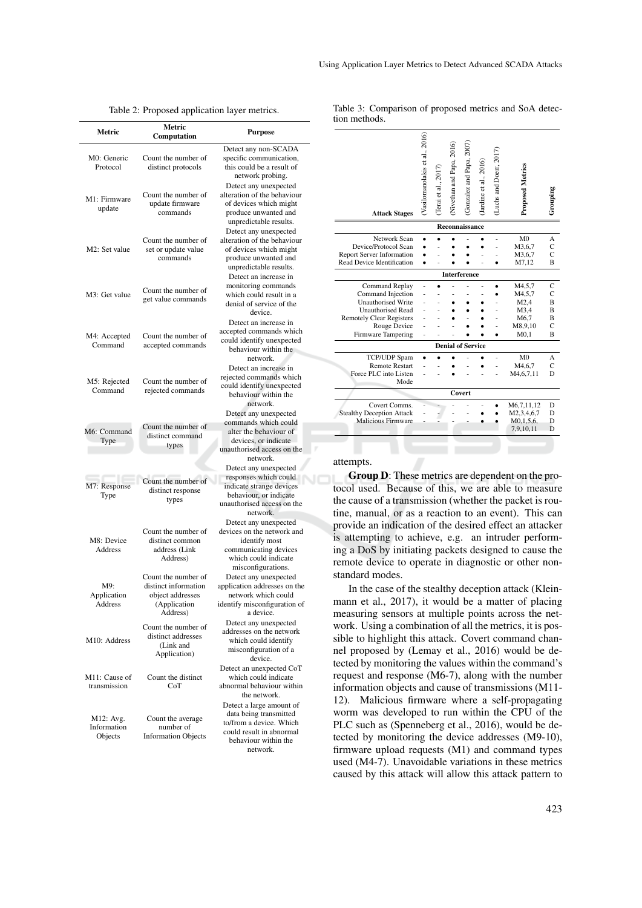| Using Application Layer Metrics to Detect Advanced SCADA Attacks |  |  |  |  |  |
|------------------------------------------------------------------|--|--|--|--|--|
|------------------------------------------------------------------|--|--|--|--|--|

| raoie 2. 1 roposed application layer metrics. |                                                                                             |                                                                                                                                                |  |  |  |  |  |
|-----------------------------------------------|---------------------------------------------------------------------------------------------|------------------------------------------------------------------------------------------------------------------------------------------------|--|--|--|--|--|
| Metric                                        | Metric<br>Computation                                                                       | <b>Purpose</b>                                                                                                                                 |  |  |  |  |  |
| M0: Generic<br>Protocol                       | Count the number of<br>distinct protocols                                                   | Detect any non-SCADA<br>specific communication,<br>this could be a result of<br>network probing.                                               |  |  |  |  |  |
| M1: Firmware<br>update                        | Count the number of<br>update firmware<br>commands                                          | Detect any unexpected<br>alteration of the behaviour<br>of devices which might<br>produce unwanted and<br>unpredictable results.               |  |  |  |  |  |
| M2: Set value                                 | Count the number of<br>set or update value<br>commands                                      | Detect any unexpected<br>alteration of the behaviour<br>of devices which might<br>produce unwanted and<br>unpredictable results.               |  |  |  |  |  |
| M3: Get value                                 | Count the number of<br>get value commands                                                   | Detect an increase in<br>monitoring commands<br>which could result in a<br>denial of service of the<br>device.                                 |  |  |  |  |  |
| M4: Accepted<br>Command                       | Count the number of<br>accepted commands                                                    | Detect an increase in<br>accepted commands which<br>could identify unexpected<br>behaviour within the<br>network.                              |  |  |  |  |  |
| M5: Rejected<br>Command                       | Count the number of<br>rejected commands                                                    | Detect an increase in<br>rejected commands which<br>could identify unexpected<br>behaviour within the<br>network.                              |  |  |  |  |  |
| M6: Command<br>Type                           | Count the number of<br>distinct command<br>types                                            | Detect any unexpected<br>commands which could<br>alter the behaviour of<br>devices, or indicate<br>unauthorised access on the<br>network.      |  |  |  |  |  |
| M7: Response<br>Type                          | Count the number of<br>distinct response<br>types                                           | Detect any unexpected<br>responses which could<br>indicate strange devices<br>behaviour, or indicate<br>unauthorised access on the<br>network. |  |  |  |  |  |
| M8: Device<br>Address                         | Count the number of<br>distinct common<br>address (Link<br>Address)                         | Detect any unexpected<br>devices on the network and<br>identify most<br>communicating devices<br>which could indicate<br>misconfigurations.    |  |  |  |  |  |
| M9:<br>Application<br>Address                 | Count the number of<br>distinct information<br>object addresses<br>(Application<br>Address) | Detect any unexpected<br>application addresses on the<br>network which could<br>identify misconfiguration of<br>a device.                      |  |  |  |  |  |
| M10: Address                                  | Count the number of<br>distinct addresses<br>(Link and<br>Application)                      | Detect any unexpected<br>addresses on the network<br>which could identify<br>misconfiguration of a<br>device.                                  |  |  |  |  |  |
| M11: Cause of<br>transmission                 | Count the distinct<br>CoT                                                                   | Detect an unexpected CoT<br>which could indicate<br>abnormal behaviour within<br>the network.                                                  |  |  |  |  |  |
| M12: Avg.<br>Information<br>Objects           | Count the average<br>number of<br><b>Information Objects</b>                                | Detect a large amount of<br>data being transmitted<br>to/from a device. Which<br>could result in abnormal<br>behaviour within the              |  |  |  |  |  |

network.

| Table 2: Proposed application layer metrics. |  |
|----------------------------------------------|--|
|----------------------------------------------|--|

Table 3: Comparison of proposed metrics and SoA detection methods.

 $\widehat{6}$ 

| <b>Attack Stages</b>             | (Vasilomanolakis et al., 2016) | (Terai et al., 2017 | (Nivethan and Papa, 2016) | Gonzalez and Papa, 2007  | (Jardine et al., 2016) | (Luchs and Doerr, 2017 | <b>Proposed Metrics</b> | Grouping       |
|----------------------------------|--------------------------------|---------------------|---------------------------|--------------------------|------------------------|------------------------|-------------------------|----------------|
| Reconnaissance                   |                                |                     |                           |                          |                        |                        |                         |                |
| Network Scan                     |                                |                     |                           |                          |                        |                        | M <sub>0</sub>          | A              |
| Device/Protocol Scan             |                                |                     |                           |                          |                        |                        | M3,6,7                  | C              |
| <b>Report Server Information</b> |                                |                     |                           |                          |                        |                        | M3,6,7                  | $\overline{C}$ |
| Read Device Identification       |                                |                     |                           |                          |                        |                        | M7,12                   | В              |
|                                  |                                |                     |                           | <b>Interference</b>      |                        |                        |                         |                |
| Command Replay                   |                                |                     |                           |                          |                        |                        | M4,5,7                  | C              |
| Command Injection                |                                |                     |                           |                          |                        |                        | M4,5,7                  | Ċ              |
| <b>Unauthorised Write</b>        |                                |                     |                           |                          |                        |                        | M2,4                    | B              |
| <b>Unauthorised Read</b>         |                                |                     |                           |                          |                        |                        | M3,4                    | B              |
| <b>Remotely Clear Registers</b>  |                                |                     |                           |                          |                        |                        | M6,7                    | В              |
| Rouge Device                     |                                |                     |                           |                          |                        |                        | M8,9,10                 | C              |
| Firmware Tampering               |                                |                     |                           |                          |                        |                        | $M0$ , 1                | B              |
|                                  |                                |                     |                           | <b>Denial of Service</b> |                        |                        |                         |                |
| TCP/UDP Spam                     |                                |                     |                           |                          |                        |                        | M <sub>0</sub>          | A              |
| <b>Remote Restart</b>            |                                |                     |                           |                          |                        |                        | M <sub>4</sub> ,6,7     | C              |
| Force PLC into Listen            |                                |                     |                           |                          |                        |                        | M4,6,7,11               | D              |
| Mode                             |                                |                     |                           |                          |                        |                        |                         |                |
|                                  |                                |                     |                           | Covert                   |                        |                        |                         |                |
| Covert Comms.                    |                                |                     |                           |                          |                        |                        | M6,7,11,12              | D              |
| <b>Stealthy Deception Attack</b> |                                |                     |                           |                          |                        |                        | M2,3,4,6,7              | D              |
| Malicious Firmware               |                                |                     |                           |                          |                        |                        | M0, 1, 5, 6,            | D              |
|                                  |                                |                     |                           |                          |                        |                        | 7,9,10,11               | D              |
|                                  |                                |                     |                           |                          |                        |                        |                         |                |
|                                  |                                |                     |                           |                          |                        |                        |                         |                |

#### attempts.

Group D: These metrics are dependent on the protocol used. Because of this, we are able to measure the cause of a transmission (whether the packet is routine, manual, or as a reaction to an event). This can provide an indication of the desired effect an attacker is attempting to achieve, e.g. an intruder performing a DoS by initiating packets designed to cause the remote device to operate in diagnostic or other nonstandard modes.

In the case of the stealthy deception attack (Kleinmann et al., 2017), it would be a matter of placing measuring sensors at multiple points across the network. Using a combination of all the metrics, it is possible to highlight this attack. Covert command channel proposed by (Lemay et al., 2016) would be detected by monitoring the values within the command's request and response (M6-7), along with the number information objects and cause of transmissions (M11- 12). Malicious firmware where a self-propagating worm was developed to run within the CPU of the PLC such as (Spenneberg et al., 2016), would be detected by monitoring the device addresses (M9-10), firmware upload requests (M1) and command types used (M4-7). Unavoidable variations in these metrics caused by this attack will allow this attack pattern to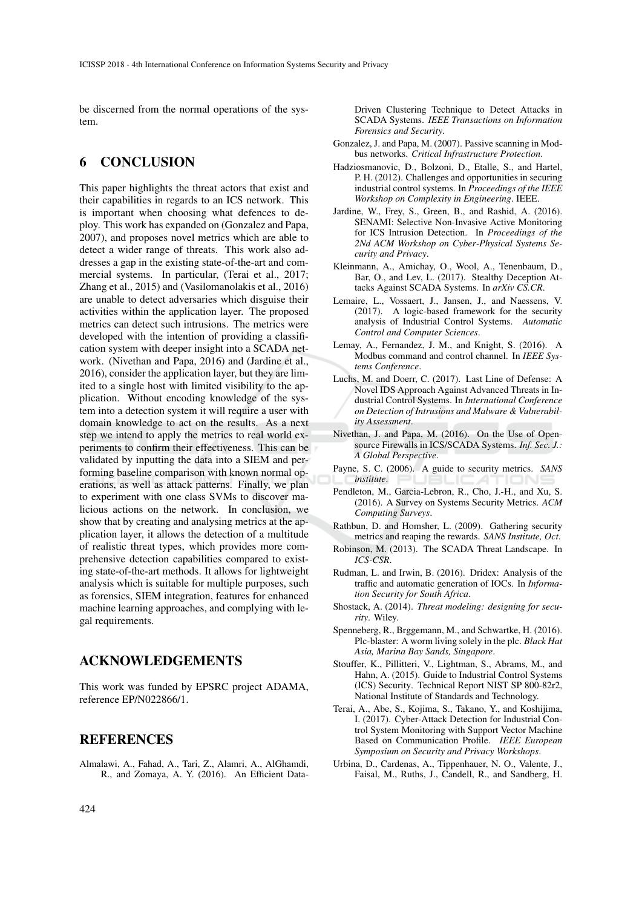be discerned from the normal operations of the system.

# 6 CONCLUSION

This paper highlights the threat actors that exist and their capabilities in regards to an ICS network. This is important when choosing what defences to deploy. This work has expanded on (Gonzalez and Papa, 2007), and proposes novel metrics which are able to detect a wider range of threats. This work also addresses a gap in the existing state-of-the-art and commercial systems. In particular, (Terai et al., 2017; Zhang et al., 2015) and (Vasilomanolakis et al., 2016) are unable to detect adversaries which disguise their activities within the application layer. The proposed metrics can detect such intrusions. The metrics were developed with the intention of providing a classification system with deeper insight into a SCADA network. (Nivethan and Papa, 2016) and (Jardine et al., 2016), consider the application layer, but they are limited to a single host with limited visibility to the application. Without encoding knowledge of the system into a detection system it will require a user with domain knowledge to act on the results. As a next step we intend to apply the metrics to real world experiments to confirm their effectiveness. This can be validated by inputting the data into a SIEM and performing baseline comparison with known normal operations, as well as attack patterns. Finally, we plan to experiment with one class SVMs to discover malicious actions on the network. In conclusion, we show that by creating and analysing metrics at the application layer, it allows the detection of a multitude of realistic threat types, which provides more comprehensive detection capabilities compared to existing state-of-the-art methods. It allows for lightweight analysis which is suitable for multiple purposes, such as forensics, SIEM integration, features for enhanced machine learning approaches, and complying with legal requirements.

## ACKNOWLEDGEMENTS

This work was funded by EPSRC project ADAMA, reference EP/N022866/1.

### **REFERENCES**

Almalawi, A., Fahad, A., Tari, Z., Alamri, A., AlGhamdi, R., and Zomaya, A. Y. (2016). An Efficient DataDriven Clustering Technique to Detect Attacks in SCADA Systems. *IEEE Transactions on Information Forensics and Security*.

- Gonzalez, J. and Papa, M. (2007). Passive scanning in Modbus networks. *Critical Infrastructure Protection*.
- Hadziosmanovic, D., Bolzoni, D., Etalle, S., and Hartel, P. H. (2012). Challenges and opportunities in securing industrial control systems. In *Proceedings of the IEEE Workshop on Complexity in Engineering*. IEEE.
- Jardine, W., Frey, S., Green, B., and Rashid, A. (2016). SENAMI: Selective Non-Invasive Active Monitoring for ICS Intrusion Detection. In *Proceedings of the 2Nd ACM Workshop on Cyber-Physical Systems Security and Privacy*.
- Kleinmann, A., Amichay, O., Wool, A., Tenenbaum, D., Bar, O., and Lev, L. (2017). Stealthy Deception Attacks Against SCADA Systems. In *arXiv CS.CR*.
- Lemaire, L., Vossaert, J., Jansen, J., and Naessens, V. (2017). A logic-based framework for the security analysis of Industrial Control Systems. *Automatic Control and Computer Sciences*.
- Lemay, A., Fernandez, J. M., and Knight, S. (2016). A Modbus command and control channel. In *IEEE Systems Conference*.
- Luchs, M. and Doerr, C. (2017). Last Line of Defense: A Novel IDS Approach Against Advanced Threats in Industrial Control Systems. In *International Conference on Detection of Intrusions and Malware & Vulnerability Assessment*.
- Nivethan, J. and Papa, M. (2016). On the Use of Opensource Firewalls in ICS/SCADA Systems. *Inf. Sec. J.: A Global Perspective*.
- Payne, S. C. (2006). A guide to security metrics. *SANS institute*.
- Pendleton, M., Garcia-Lebron, R., Cho, J.-H., and Xu, S. (2016). A Survey on Systems Security Metrics. *ACM Computing Surveys*.
- Rathbun, D. and Homsher, L. (2009). Gathering security metrics and reaping the rewards. *SANS Institute, Oct*.
- Robinson, M. (2013). The SCADA Threat Landscape. In *ICS-CSR*.
- Rudman, L. and Irwin, B. (2016). Dridex: Analysis of the traffic and automatic generation of IOCs. In *Information Security for South Africa*.
- Shostack, A. (2014). *Threat modeling: designing for security*. Wiley.
- Spenneberg, R., Brggemann, M., and Schwartke, H. (2016). Plc-blaster: A worm living solely in the plc. *Black Hat Asia, Marina Bay Sands, Singapore*.
- Stouffer, K., Pillitteri, V., Lightman, S., Abrams, M., and Hahn, A. (2015). Guide to Industrial Control Systems (ICS) Security. Technical Report NIST SP 800-82r2, National Institute of Standards and Technology.
- Terai, A., Abe, S., Kojima, S., Takano, Y., and Koshijima, I. (2017). Cyber-Attack Detection for Industrial Control System Monitoring with Support Vector Machine Based on Communication Profile. *IEEE European Symposium on Security and Privacy Workshops*.
- Urbina, D., Cardenas, A., Tippenhauer, N. O., Valente, J., Faisal, M., Ruths, J., Candell, R., and Sandberg, H.